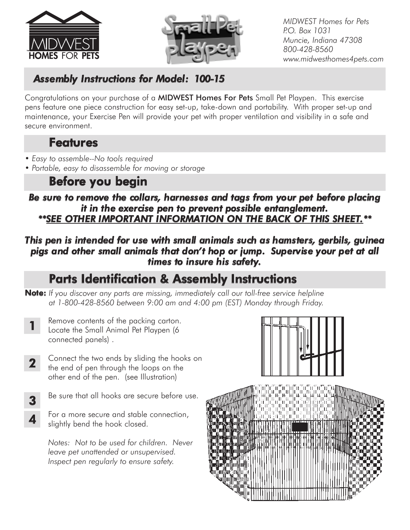



*MIDWEST Homes for Pets P.O. Box 1031 Muncie, Indiana 47308 800-428-8560 www.midwesthomes4pets.com*

## *Assembly Instructions for Model: 100-15*

Congratulations on your purchase of a MIDWEST Homes For Pets Small Pet Playpen. This exercise pens feature one piece construction for easy set-up, take-down and portability. With proper set-up and maintenance, your Exercise Pen will provide your pet with proper ventilation and visibility in a safe and secure environment.

## Features

- *Easy to assemble--No tools required*
- *Portable, easy to disassemble for moving or storage*

## Before you begin

*Be sure to remove the collars, harnesses and tags from your pet before placing it in the exercise pen to prevent possible entanglement. \*\*SEE OTHER IMPORTANT INFORMATION ON THE BACK OF THIS SHEET.\*\**

### *This pen is intended for use with small animals such as hamsters, gerbils, guinea pigs and other small animals that don't hop or jump. Supervise your pet at all times to insure his safety.*

# Parts Identification & Assembly Instructions

- Note: *If you discover any parts are missing, immediately call our toll-free service helpline at 1-800-428-8560 between 9:00 am and 4:00 pm (EST) Monday through Friday.*
	- Remove contents of the packing carton. Locate the Small Animal Pet Playpen (6 connected panels) . 1
- Connect the two ends by sliding the hooks on the end of pen through the loops on the other end of the pen. (see Illustration) 2
- Be sure that all hooks are secure before use. 3
- For a more secure and stable connection, slightly bend the hook closed. 4

*Notes: Not to be used for children. Never leave pet unattended or unsupervised. Inspect pen regularly to ensure safety.*